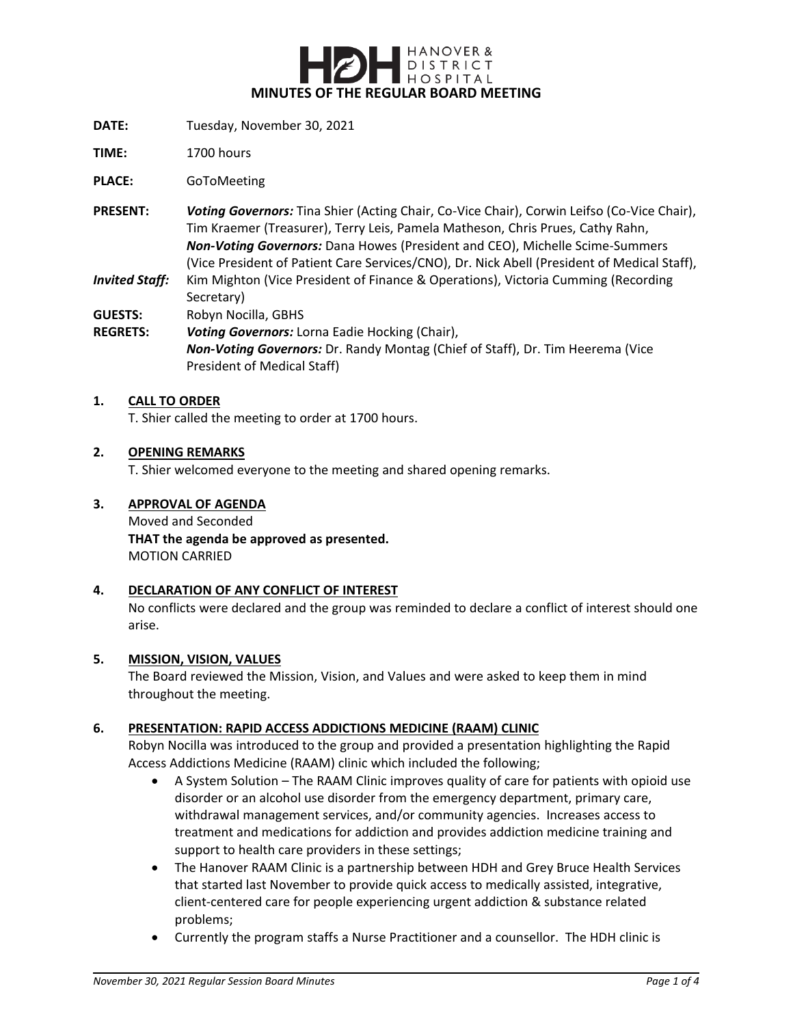

- **DATE:** Tuesday, November 30, 2021
- **TIME:** 1700 hours

**PLACE:** GoToMeeting

- **PRESENT:** *Voting Governors:* Tina Shier (Acting Chair, Co-Vice Chair), Corwin Leifso (Co-Vice Chair), Tim Kraemer (Treasurer), Terry Leis, Pamela Matheson, Chris Prues, Cathy Rahn, *Non-Voting Governors:* Dana Howes (President and CEO), Michelle Scime-Summers (Vice President of Patient Care Services/CNO), Dr. Nick Abell (President of Medical Staff),
- *Invited Staff:* Kim Mighton (Vice President of Finance & Operations), Victoria Cumming (Recording Secretary)

**GUESTS:** Robyn Nocilla, GBHS

**REGRETS:** *Voting Governors:* Lorna Eadie Hocking (Chair), *Non-Voting Governors:* Dr. Randy Montag (Chief of Staff), Dr. Tim Heerema (Vice President of Medical Staff)

#### **1. CALL TO ORDER**

T. Shier called the meeting to order at 1700 hours.

#### **2. OPENING REMARKS**

T. Shier welcomed everyone to the meeting and shared opening remarks.

#### **3. APPROVAL OF AGENDA**

Moved and Seconded **THAT the agenda be approved as presented.** MOTION CARRIED

## **4. DECLARATION OF ANY CONFLICT OF INTEREST**

No conflicts were declared and the group was reminded to declare a conflict of interest should one arise.

## **5. MISSION, VISION, VALUES**

The Board reviewed the Mission, Vision, and Values and were asked to keep them in mind throughout the meeting.

## **6. PRESENTATION: RAPID ACCESS ADDICTIONS MEDICINE (RAAM) CLINIC**

Robyn Nocilla was introduced to the group and provided a presentation highlighting the Rapid Access Addictions Medicine (RAAM) clinic which included the following;

- A System Solution The RAAM Clinic improves quality of care for patients with opioid use disorder or an alcohol use disorder from the emergency department, primary care, withdrawal management services, and/or community agencies. Increases access to treatment and medications for addiction and provides addiction medicine training and support to health care providers in these settings;
- The Hanover RAAM Clinic is a partnership between HDH and Grey Bruce Health Services that started last November to provide quick access to medically assisted, integrative, client-centered care for people experiencing urgent addiction & substance related problems;
- Currently the program staffs a Nurse Practitioner and a counsellor. The HDH clinic is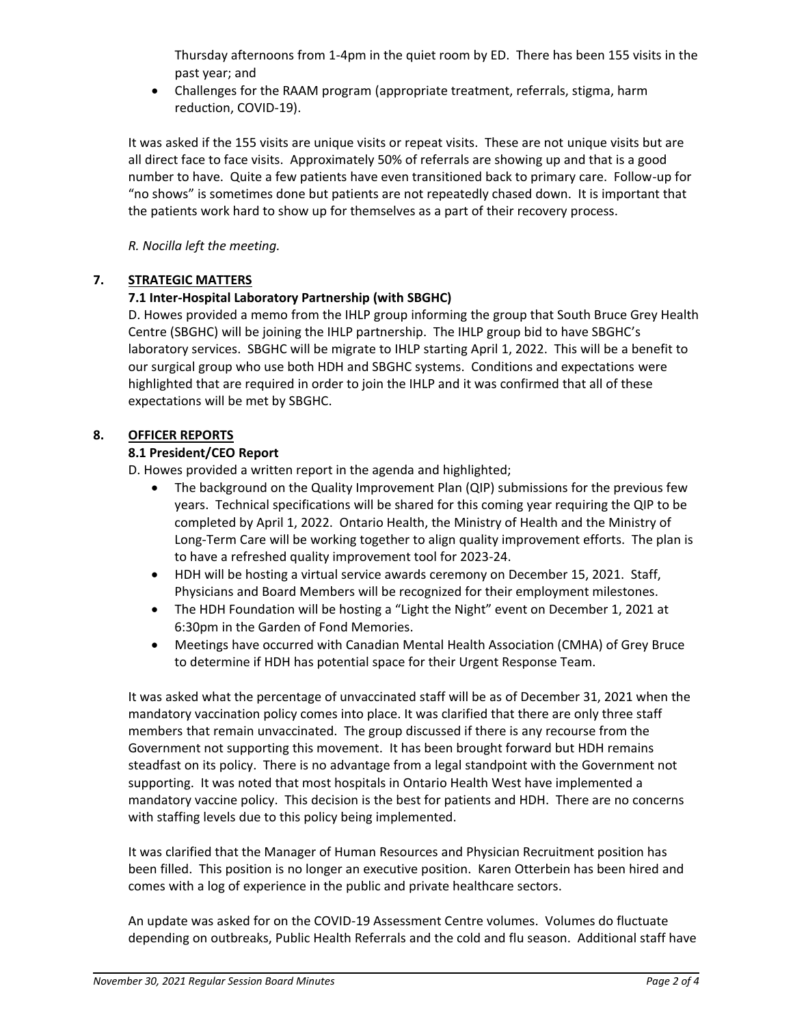Thursday afternoons from 1-4pm in the quiet room by ED. There has been 155 visits in the past year; and

 Challenges for the RAAM program (appropriate treatment, referrals, stigma, harm reduction, COVID-19).

It was asked if the 155 visits are unique visits or repeat visits. These are not unique visits but are all direct face to face visits. Approximately 50% of referrals are showing up and that is a good number to have. Quite a few patients have even transitioned back to primary care. Follow-up for "no shows" is sometimes done but patients are not repeatedly chased down. It is important that the patients work hard to show up for themselves as a part of their recovery process.

*R. Nocilla left the meeting.*

# **7. STRATEGIC MATTERS**

# **7.1 Inter-Hospital Laboratory Partnership (with SBGHC)**

D. Howes provided a memo from the IHLP group informing the group that South Bruce Grey Health Centre (SBGHC) will be joining the IHLP partnership. The IHLP group bid to have SBGHC's laboratory services. SBGHC will be migrate to IHLP starting April 1, 2022. This will be a benefit to our surgical group who use both HDH and SBGHC systems. Conditions and expectations were highlighted that are required in order to join the IHLP and it was confirmed that all of these expectations will be met by SBGHC.

# **8. OFFICER REPORTS**

# **8.1 President/CEO Report**

D. Howes provided a written report in the agenda and highlighted;

- The background on the Quality Improvement Plan (QIP) submissions for the previous few years. Technical specifications will be shared for this coming year requiring the QIP to be completed by April 1, 2022. Ontario Health, the Ministry of Health and the Ministry of Long-Term Care will be working together to align quality improvement efforts. The plan is to have a refreshed quality improvement tool for 2023-24.
- HDH will be hosting a virtual service awards ceremony on December 15, 2021. Staff, Physicians and Board Members will be recognized for their employment milestones.
- The HDH Foundation will be hosting a "Light the Night" event on December 1, 2021 at 6:30pm in the Garden of Fond Memories.
- Meetings have occurred with Canadian Mental Health Association (CMHA) of Grey Bruce to determine if HDH has potential space for their Urgent Response Team.

It was asked what the percentage of unvaccinated staff will be as of December 31, 2021 when the mandatory vaccination policy comes into place. It was clarified that there are only three staff members that remain unvaccinated. The group discussed if there is any recourse from the Government not supporting this movement. It has been brought forward but HDH remains steadfast on its policy. There is no advantage from a legal standpoint with the Government not supporting. It was noted that most hospitals in Ontario Health West have implemented a mandatory vaccine policy. This decision is the best for patients and HDH. There are no concerns with staffing levels due to this policy being implemented.

It was clarified that the Manager of Human Resources and Physician Recruitment position has been filled. This position is no longer an executive position. Karen Otterbein has been hired and comes with a log of experience in the public and private healthcare sectors.

An update was asked for on the COVID-19 Assessment Centre volumes. Volumes do fluctuate depending on outbreaks, Public Health Referrals and the cold and flu season. Additional staff have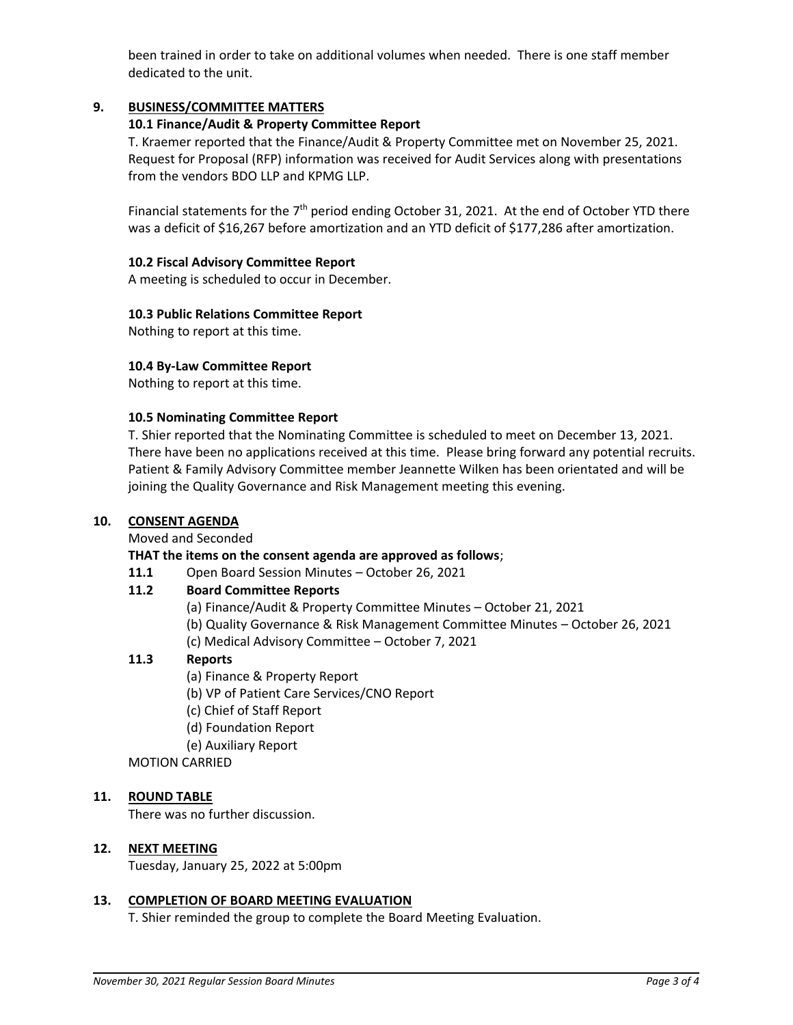been trained in order to take on additional volumes when needed. There is one staff member dedicated to the unit.

# **9. BUSINESS/COMMITTEE MATTERS**

## **10.1 Finance/Audit & Property Committee Report**

T. Kraemer reported that the Finance/Audit & Property Committee met on November 25, 2021. Request for Proposal (RFP) information was received for Audit Services along with presentations from the vendors BDO LLP and KPMG LLP.

Financial statements for the  $7<sup>th</sup>$  period ending October 31, 2021. At the end of October YTD there was a deficit of \$16,267 before amortization and an YTD deficit of \$177,286 after amortization.

### **10.2 Fiscal Advisory Committee Report**

A meeting is scheduled to occur in December.

## **10.3 Public Relations Committee Report**

Nothing to report at this time.

## **10.4 By-Law Committee Report**

Nothing to report at this time.

#### **10.5 Nominating Committee Report**

T. Shier reported that the Nominating Committee is scheduled to meet on December 13, 2021. There have been no applications received at this time. Please bring forward any potential recruits. Patient & Family Advisory Committee member Jeannette Wilken has been orientated and will be joining the Quality Governance and Risk Management meeting this evening.

## **10. CONSENT AGENDA**

Moved and Seconded

## **THAT the items on the consent agenda are approved as follows**;

**11.1** Open Board Session Minutes – October 26, 2021

## **11.2 Board Committee Reports**

- (a) Finance/Audit & Property Committee Minutes October 21, 2021
- (b) Quality Governance & Risk Management Committee Minutes October 26, 2021
- (c) Medical Advisory Committee October 7, 2021

## **11.3 Reports**

- (a) Finance & Property Report
- (b) VP of Patient Care Services/CNO Report
- (c) Chief of Staff Report
- (d) Foundation Report
- (e) Auxiliary Report

## MOTION CARRIED

## **11. ROUND TABLE**

There was no further discussion.

#### **12. NEXT MEETING**

Tuesday, January 25, 2022 at 5:00pm

#### **13. COMPLETION OF BOARD MEETING EVALUATION**

T. Shier reminded the group to complete the Board Meeting Evaluation.